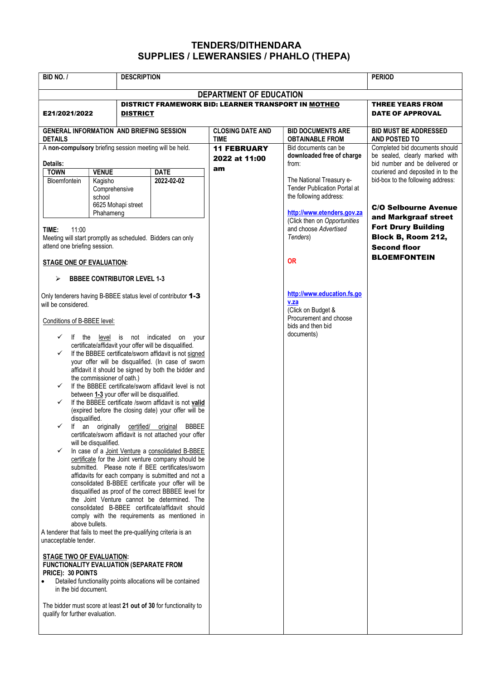## TENDERS/DITHENDARA SUPPLIES / LEWERANSIES / PHAHLO (THEPA)

| BID NO. /                                                                                                                                                                                                                                                                                                                                                                                                                                                                                                                                                                                                                                                                                                                                                                                                                                                                                                                                                                                                                                                                                                                                                                                                                                                                                                                                                                                                                                                                                                                                                                                                                                                                  | <b>DESCRIPTION</b>                                                                                                                                               |                                        | <b>PERIOD</b>                                              |                                                                                                                       |                                                                                                                                                       |  |
|----------------------------------------------------------------------------------------------------------------------------------------------------------------------------------------------------------------------------------------------------------------------------------------------------------------------------------------------------------------------------------------------------------------------------------------------------------------------------------------------------------------------------------------------------------------------------------------------------------------------------------------------------------------------------------------------------------------------------------------------------------------------------------------------------------------------------------------------------------------------------------------------------------------------------------------------------------------------------------------------------------------------------------------------------------------------------------------------------------------------------------------------------------------------------------------------------------------------------------------------------------------------------------------------------------------------------------------------------------------------------------------------------------------------------------------------------------------------------------------------------------------------------------------------------------------------------------------------------------------------------------------------------------------------------|------------------------------------------------------------------------------------------------------------------------------------------------------------------|----------------------------------------|------------------------------------------------------------|-----------------------------------------------------------------------------------------------------------------------|-------------------------------------------------------------------------------------------------------------------------------------------------------|--|
| DEPARTMENT OF EDUCATION                                                                                                                                                                                                                                                                                                                                                                                                                                                                                                                                                                                                                                                                                                                                                                                                                                                                                                                                                                                                                                                                                                                                                                                                                                                                                                                                                                                                                                                                                                                                                                                                                                                    |                                                                                                                                                                  |                                        |                                                            |                                                                                                                       |                                                                                                                                                       |  |
| E21/2021/2022                                                                                                                                                                                                                                                                                                                                                                                                                                                                                                                                                                                                                                                                                                                                                                                                                                                                                                                                                                                                                                                                                                                                                                                                                                                                                                                                                                                                                                                                                                                                                                                                                                                              | <b>DISTRICT</b>                                                                                                                                                  |                                        | <b>DISTRICT FRAMEWORK BID: LEARNER TRANSPORT IN MOTHEO</b> |                                                                                                                       | <b>THREE YEARS FROM</b><br><b>DATE OF APPROVAL</b>                                                                                                    |  |
| <b>GENERAL INFORMATION AND BRIEFING SESSION</b><br><b>DETAILS</b>                                                                                                                                                                                                                                                                                                                                                                                                                                                                                                                                                                                                                                                                                                                                                                                                                                                                                                                                                                                                                                                                                                                                                                                                                                                                                                                                                                                                                                                                                                                                                                                                          |                                                                                                                                                                  | <b>CLOSING DATE AND</b><br><b>TIME</b> | <b>BID DOCUMENTS ARE</b><br><b>OBTAINABLE FROM</b>         | <b>BID MUST BE ADDRESSED</b><br><b>AND POSTED TO</b>                                                                  |                                                                                                                                                       |  |
| A non-compulsory briefing session meeting will be held.<br>Details:                                                                                                                                                                                                                                                                                                                                                                                                                                                                                                                                                                                                                                                                                                                                                                                                                                                                                                                                                                                                                                                                                                                                                                                                                                                                                                                                                                                                                                                                                                                                                                                                        |                                                                                                                                                                  | <b>11 FEBRUARY</b><br>2022 at 11:00    | Bid documents can be<br>downloaded free of charge<br>from: | Completed bid documents should<br>be sealed, clearly marked with<br>bid number and be delivered or                    |                                                                                                                                                       |  |
| <b>TOWN</b><br>Bloemfontein                                                                                                                                                                                                                                                                                                                                                                                                                                                                                                                                                                                                                                                                                                                                                                                                                                                                                                                                                                                                                                                                                                                                                                                                                                                                                                                                                                                                                                                                                                                                                                                                                                                | <b>VENUE</b><br>Kagisho<br>Comprehensive<br>school                                                                                                               | <b>DATE</b><br>2022-02-02              | am<br>The National Treasury e-                             | <b>Tender Publication Portal at</b><br>the following address:                                                         | couriered and deposited in to the<br>bid-box to the following address:                                                                                |  |
| TIME:<br>11:00                                                                                                                                                                                                                                                                                                                                                                                                                                                                                                                                                                                                                                                                                                                                                                                                                                                                                                                                                                                                                                                                                                                                                                                                                                                                                                                                                                                                                                                                                                                                                                                                                                                             | 6625 Mohapi street<br>Phahameng<br>Meeting will start promptly as scheduled. Bidders can only<br>attend one briefing session.<br><b>STAGE ONE OF EVALUATION:</b> |                                        |                                                            | http://www.etenders.gov.za<br>(Click then on Opportunities<br>and choose Advertised<br>Tenders)<br><b>OR</b>          | <b>C/O Selbourne Avenue</b><br>and Markgraaf street<br><b>Fort Drury Building</b><br>Block B, Room 212,<br><b>Second floor</b><br><b>BLOEMFONTEIN</b> |  |
| <b>BBBEE CONTRIBUTOR LEVEL 1-3</b><br>⋗<br>Only tenderers having B-BBEE status level of contributor 1-3<br>will be considered.<br>Conditions of B-BBEE level:<br>$\checkmark$ If the level is not indicated<br>on your<br>certificate/affidavit your offer will be disqualified.<br>If the BBBEE certificate/sworn affidavit is not signed<br>$\checkmark$<br>your offer will be disqualified. (In case of sworn<br>affidavit it should be signed by both the bidder and<br>the commissioner of oath.)<br>If the BBBEE certificate/sworn affidavit level is not<br>$\checkmark$<br>between 1-3 your offer will be disqualified.<br>If the BBBEE certificate /sworn affidavit is not valid<br>$\checkmark$<br>(expired before the closing date) your offer will be<br>disqualified.<br>If an originally certified/ original<br>$\checkmark$<br><b>BBBEE</b><br>certificate/sworn affidavit is not attached your offer<br>will be disqualified.<br>In case of a Joint Venture a consolidated B-BBEE<br>$\checkmark$<br>certificate for the Joint venture company should be<br>submitted. Please note if BEE certificates/sworn<br>affidavits for each company is submitted and not a<br>consolidated B-BBEE certificate your offer will be<br>disqualified as proof of the correct BBBEE level for<br>the Joint Venture cannot be determined. The<br>consolidated B-BBEE certificate/affidavit should<br>comply with the requirements as mentioned in<br>above bullets.<br>A tenderer that fails to meet the pre-qualifying criteria is an<br>unacceptable tender.<br><b>STAGE TWO OF EVALUATION:</b><br><b>FUNCTIONALITY EVALUATION (SEPARATE FROM</b><br>PRICE): 30 POINTS |                                                                                                                                                                  |                                        |                                                            | http://www.education.fs.go<br>v.za<br>(Click on Budget &<br>Procurement and choose<br>bids and then bid<br>documents) |                                                                                                                                                       |  |
| in the bid document.<br>The bidder must score at least 21 out of 30 for functionality to<br>qualify for further evaluation.                                                                                                                                                                                                                                                                                                                                                                                                                                                                                                                                                                                                                                                                                                                                                                                                                                                                                                                                                                                                                                                                                                                                                                                                                                                                                                                                                                                                                                                                                                                                                |                                                                                                                                                                  |                                        |                                                            |                                                                                                                       |                                                                                                                                                       |  |